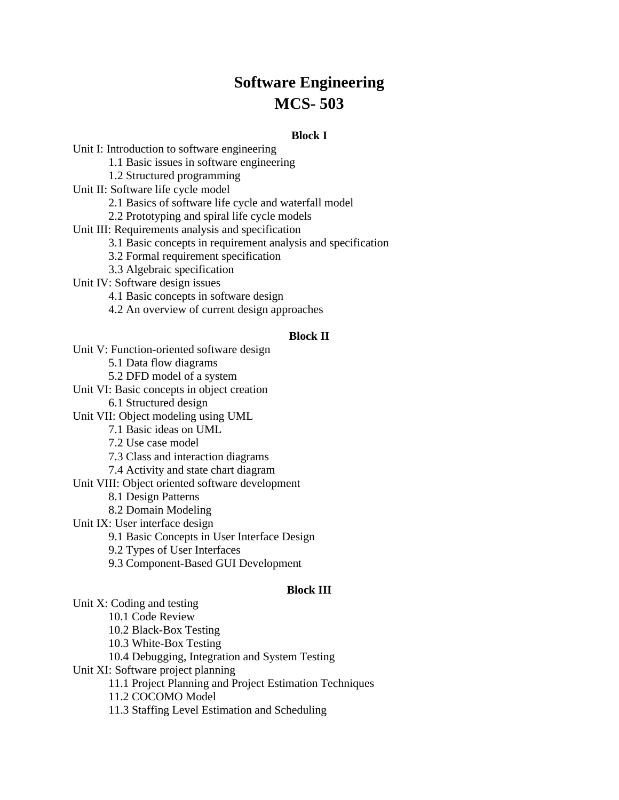# **Software Engineering MCS- 503**

### **Block I**

Unit I: Introduction to software engineering 1.1 Basic issues in software engineering 1.2 Structured programming Unit II: Software life cycle model 2.1 Basics of software life cycle and waterfall model 2.2 Prototyping and spiral life cycle models Unit III: Requirements analysis and specification 3.1 Basic concepts in requirement analysis and specification 3.2 Formal requirement specification 3.3 Algebraic specification Unit IV: Software design issues 4.1 Basic concepts in software design 4.2 An overview of current design approaches **Block II** Unit V: Function-oriented software design 5.1 Data flow diagrams 5.2 DFD model of a system Unit VI: Basic concepts in object creation 6.1 Structured design Unit VII: Object modeling using UML 7.1 Basic ideas on UML 7.2 Use case model 7.3 Class and interaction diagrams 7.4 Activity and state chart diagram

Unit VIII: Object oriented software development

8.1 Design Patterns

8.2 Domain Modeling

Unit IX: User interface design

9.1 Basic Concepts in User Interface Design

9.2 Types of User Interfaces

9.3 Component-Based GUI Development

#### **Block III**

Unit X: Coding and testing 10.1 Code Review 10.2 Black-Box Testing 10.3 White-Box Testing 10.4 Debugging, Integration and System Testing Unit XI: Software project planning 11.1 Project Planning and Project Estimation Techniques 11.2 COCOMO Model 11.3 Staffing Level Estimation and Scheduling